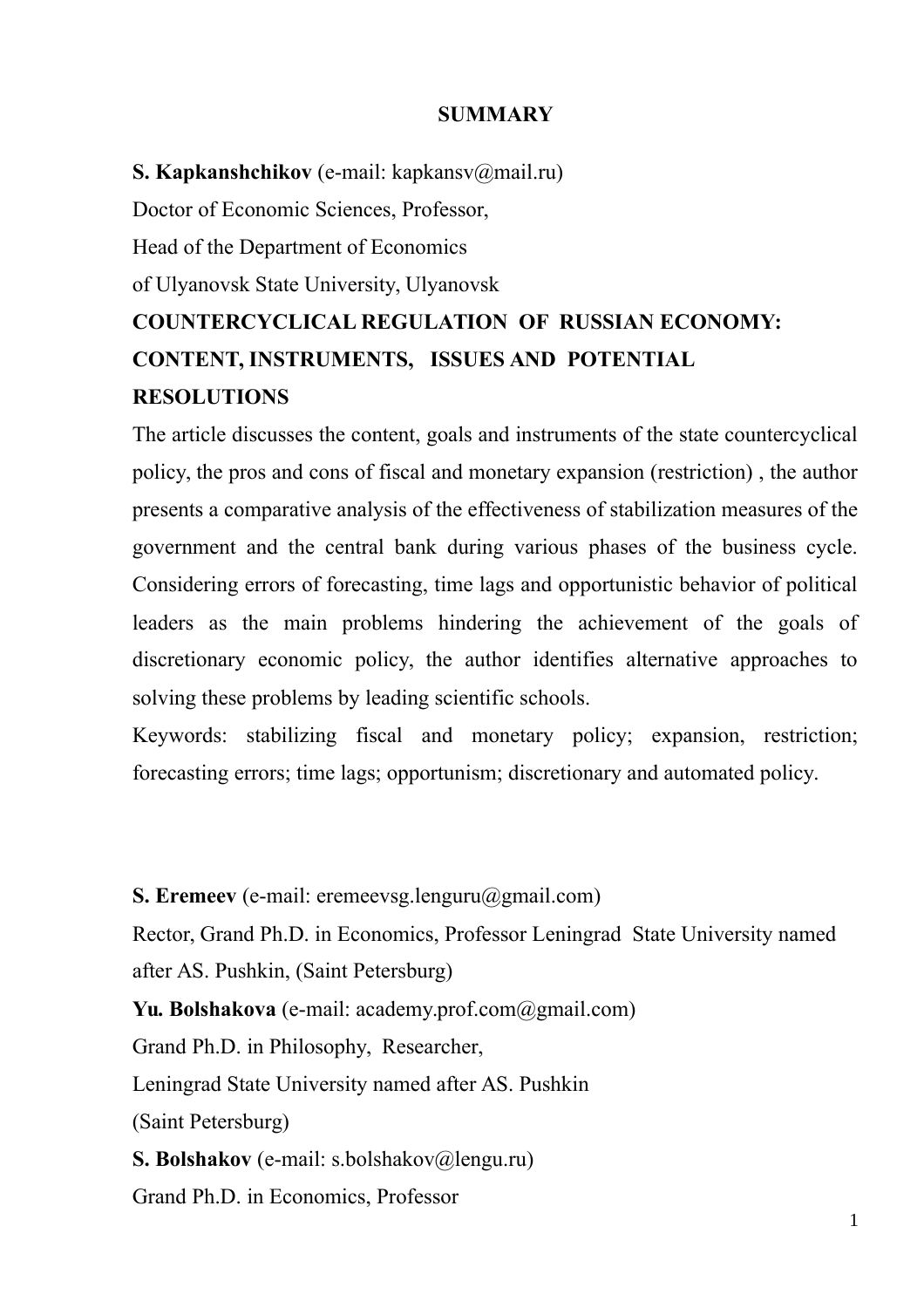#### **SUMMARY**

**S. Kapkanshchikov** (e-mail: kapkansv@mail.ru) Doctor of Economic Sciences, Professor, Head of the Department of Economics of Ulyanovsk State University, Ulyanovsk **COUNTERCYCLICAL REGULATION OF RUSSIAN ECONOMY: CONTENT, INSTRUMENTS, ISSUES AND POTENTIAL RESOLUTIONS**

The article discusses the content, goals and instruments of the state countercyclical policy, the pros and cons of fiscal and monetary expansion (restriction) , the author presents a comparative analysis of the effectiveness of stabilization measures of the government and the central bank during various phases of the business cycle. Considering errors of forecasting, time lags and opportunistic behavior of political leaders as the main problems hindering the achievement of the goals of discretionary economic policy, the author identifies alternative approaches to solving these problems by leading scientific schools.

Keywords: stabilizing fiscal and monetary policy; expansion, restriction; forecasting errors; time lags; opportunism; discretionary and automated policy.

**S. Eremeev** (e-mail: eremeevsg.lenguru@gmail.com)

Rector, Grand Ph.D. in Economics, Professor Leningrad State University named after AS. Pushkin, (Saint Petersburg)

Yu. Bolshakova (e-mail: academy.prof.com@gmail.com)

Grand Ph.D. in Philosophy, Researcher,

Leningrad State University named after AS. Pushkin

(Saint Petersburg)

**S. Bolshakov** (e-mail: s.bolshakov@lengu.ru)

Grand Ph.D. in Economics, Professor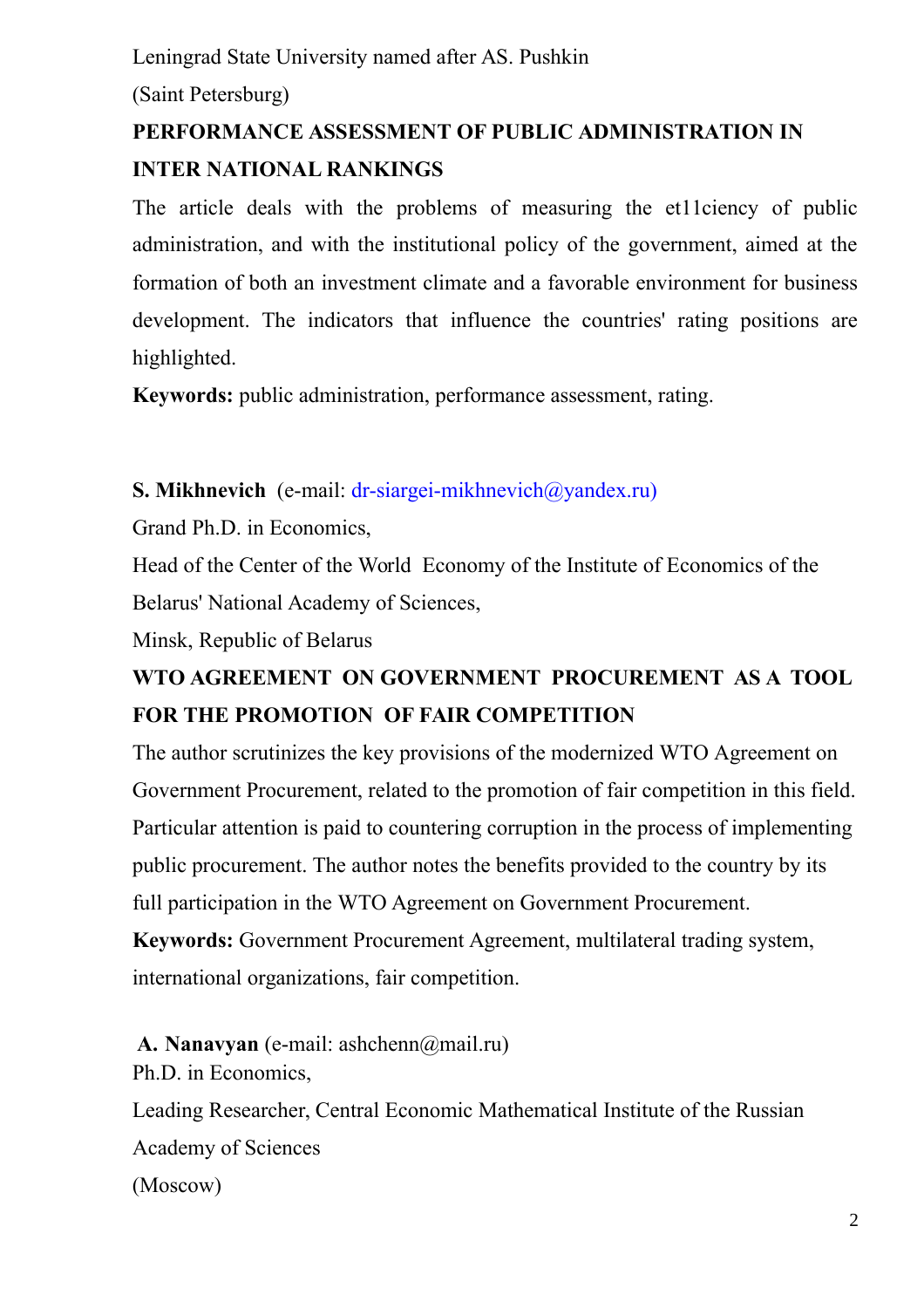Leningrad State University named after AS. Pushkin

(Saint Petersburg)

# **PERFORMANCE ASSESSMENT OF PUBLIC ADMINISTRATION IN INTER NATIONAL RANKINGS**

The article deals with the problems of measuring the et11ciency of public administration, and with the institutional policy of the government, aimed at the formation of both an investment climate and a favorable environment for business development. The indicators that influence the countries' rating positions are highlighted.

**Keywords:** public administration, performance assessment, rating.

**S. Mikhnevich** (e-mail: [dr-siargei-mikhnevich@yandex.ru\)](mailto:dr-siargei-mikhnevich@yandex.ru)

Grand Ph.D. in Economics,

Head of the Center of the World Economy of the Institute of Economics of the Belarus' National Academy of Sciences,

Minsk, Republic of Belarus

## **WTO AGREEMENT ON GOVERNMENT PROCUREMENT AS A TOOL FOR THE PROMOTION OF FAIR COMPETITION**

The author scrutinizes the key provisions of the modernized WTO Agreement on Government Procurement, related to the promotion of fair competition in this field. Particular attention is paid to countering corruption in the process of implementing public procurement. The author notes the benefits provided to the country by its full participation in the WTO Agreement on Government Procurement.

**Keywords:** Government Procurement Agreement, multilateral trading system, international organizations, fair competition.

**A. Nanavyan** (e-mail: ashchenn@mail.ru) Ph.D. in Economics,

Leading Researcher, Central Economic Mathematical Institute of the Russian Academy of Sciences (Moscow)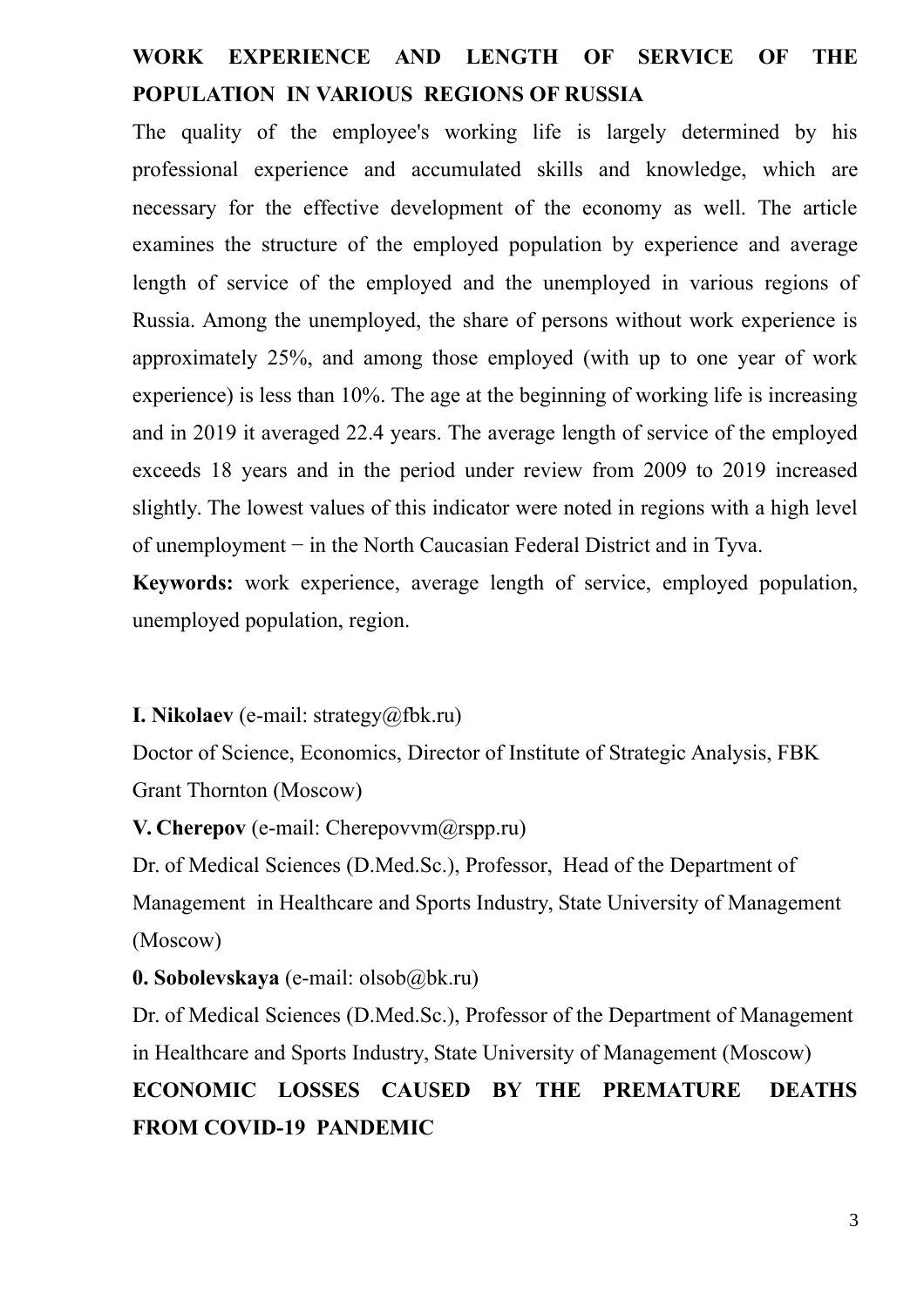### **WORK EXPERIENCE AND LENGTH OF SERVICE OF THE POPULATION IN VARIOUS REGIONS OF RUSSIA**

The quality of the employee's working life is largely determined by his professional experience and accumulated skills and knowledge, which are necessary for the effective development of the economy as well. The article examines the structure of the employed population by experience and average length of service of the employed and the unemployed in various regions of Russia. Among the unemployed, the share of persons without work experience is approximately 25%, and among those employed (with up to one year of work experience) is less than 10%. The age at the beginning of working life is increasing and in 2019 it averaged 22.4 years. The average length of service of the employed exceeds 18 years and in the period under review from 2009 to 2019 increased slightly. The lowest values of this indicator were noted in regions with a high level of unemployment − in the North Caucasian Federal District and in Tyva.

**Keywords:** work experience, average length of service, employed population, unemployed population, region.

#### **I. Nikolaev** (e-mail: strategy@fbk.ru)

Doctor of Science, Economics, Director of Institute of Strategic Analysis, FBK Grant Thornton (Moscow)

**V. Cherepov** (e-mail: Cherepovvm@rspp.ru)

Dr. of Medical Sciences (D.Med.Sc.), Professor, Head of the Department of Management in Healthcare and Sports Industry, State University of Management (Moscow)

#### **0. Sobolevskaya** (e-mail: olsob@bk.ru)

Dr. of Medical Sciences (D.Med.Sc.), Professor of the Department of Management in Healthcare and Sports Industry, State University of Management (Moscow) **ECONOMIC LOSSES CAUSED BY THE PREMATURE DEATHS FROM COVID-19 PANDEMIC**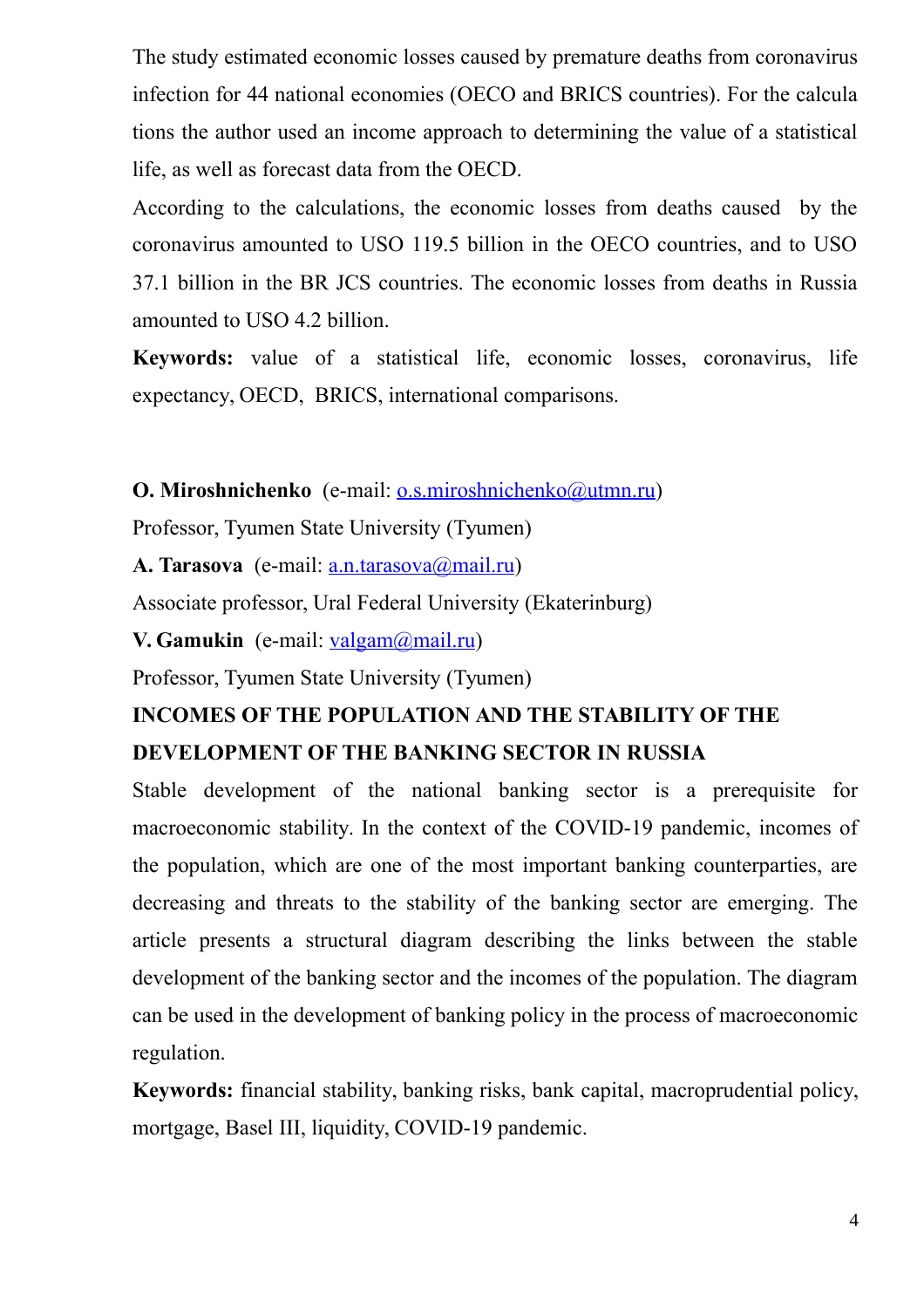The study estimated economic losses caused by premature deaths from coronavirus infection for 44 national economies (OECO and BRICS countries). For the calcula tions the author used an income approach to determining the value of a statistical life, as well as forecast data from the OECD.

According to the calculations, the economic losses from deaths caused by the coronavirus amounted to USO 119.5 billion in the OECO countries, and to USO 37.1 billion in the BR JCS countries. The economic losses from deaths in Russia amounted to USO 4.2 billion.

**Keywords:** value of a statistical life, economic losses, coronavirus, life expectancy, OECD, BRICS, international comparisons.

**O. Miroshnichenko** (e-mail: [o.s.miroshnichenko@utmn.ru\)](https://e.mail.ru/compose?To=o.s.miroshnichenko@utmn.ru)

Professor, Tyumen State University (Tyumen)

**A. Tarasova** (e-mail: [a.n.tarasova@mail.ru\)](https://e.mail.ru/compose?To=a.n.tarasova@mail.ru)

Associate professor, Ural Federal University (Ekaterinburg)

**V. Gamukin** (e-mail: [valgam@mail.ru\)](https://e.mail.ru/compose?To=valgam@mail.ru)

Professor, Tyumen State University (Tyumen)

### **INCOMES OF THE POPULATION AND THE STABILITY OF THE DEVELOPMENT OF THE BANKING SECTOR IN RUSSIA**

Stable development of the national banking sector is a prerequisite for macroeconomic stability. In the context of the COVID-19 pandemic, incomes of the population, which are one of the most important banking counterparties, are decreasing and threats to the stability of the banking sector are emerging. The article presents a structural diagram describing the links between the stable development of the banking sector and the incomes of the population. The diagram can be used in the development of banking policy in the process of macroeconomic regulation.

**Keywords:** financial stability, banking risks, bank capital, macroprudential policy, mortgage, Basel III, liquidity, COVID-19 pandemic.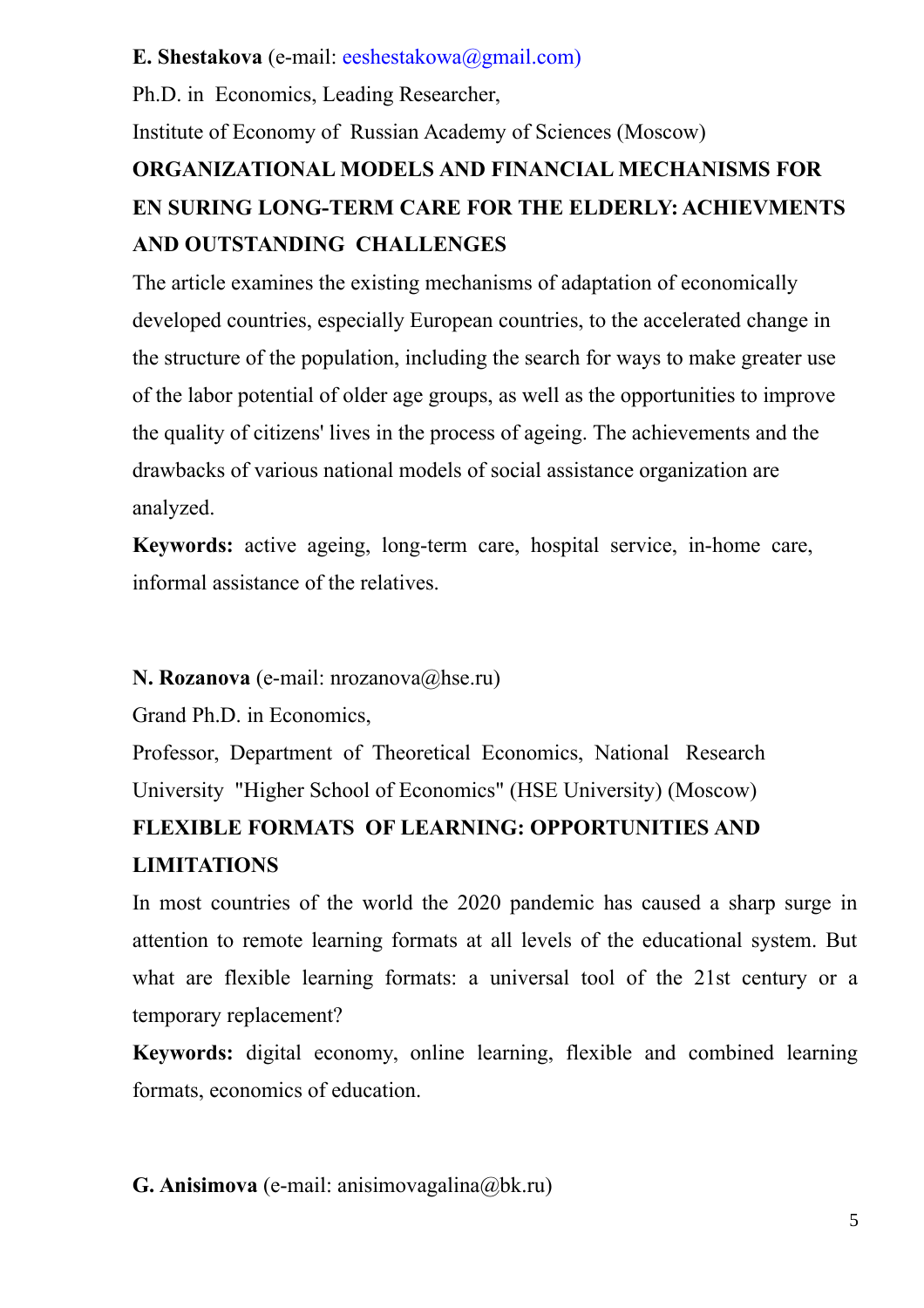#### **E. Shestakova** (e-mail: [eeshestakowa@gmail.com\)](mailto:eeshestakowa@gmail.com)

Ph.D. in Economics, Leading Researcher,

Institute of Economy of Russian Academy of Sciences (Moscow)

# **ORGANIZATIONAL MODELS AND FINANCIAL MECHANISMS FOR EN SURING LONG-TERM CARE FOR THE ELDERLY: ACHIEVMENTS AND OUTSTANDING CHALLENGES**

The article examines the existing mechanisms of adaptation of economically developed countries, especially European countries, to the accelerated change in the structure of the population, including the search for ways to make greater use of the labor potential of older age groups, as well as the opportunities to improve the quality of citizens' lives in the process of ageing. The achievements and the drawbacks of various national models of social assistance organization are analyzed.

**Keywords:** active ageing, long-term care, hospital service, in-home care, informal assistance of the relatives.

### **N. Rozanova** (e-mail: nrozanova@hse.ru)

Grand Ph.D. in Economics,

Professor, Department of Theoretical Economics, National Research University "Higher School of Economics" (HSE University) (Moscow)

# **FLEXIBLE FORMATS OF LEARNING: OPPORTUNITIES AND LIMITATIONS**

In most countries of the world the 2020 pandemic has caused a sharp surge in attention to remote learning formats at all levels of the educational system. But what are flexible learning formats: a universal tool of the 21st century or a temporary replacement?

**Keywords:** digital economy, online learning, flexible and combined learning formats, economics of education.

**G. Anisimova** (e-mail: anisimovagalina@bk.ru)